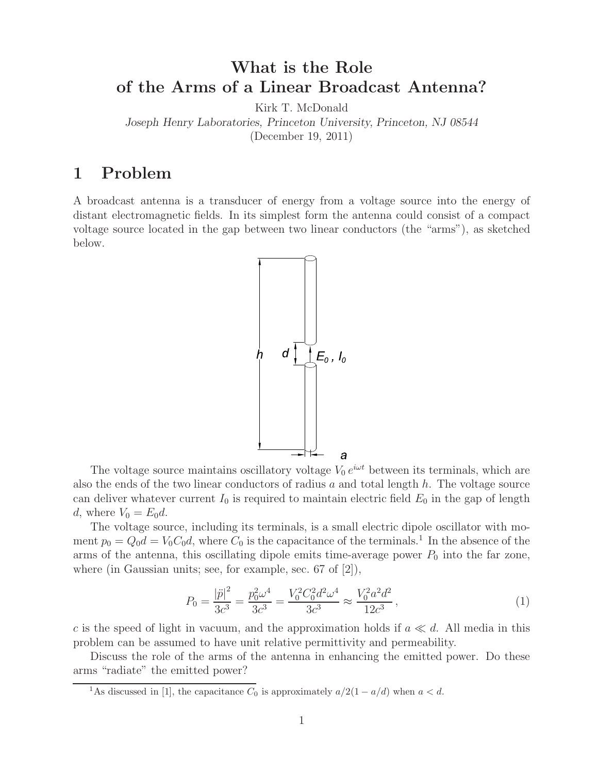# **What is the Role of the Arms of a Linear Broadcast Antenna?**

Kirk T. McDonald

*Joseph Henry Laboratories, Princeton University, Princeton, NJ 08544*

(December 19, 2011)

# **1 Problem**

A broadcast antenna is a transducer of energy from a voltage source into the energy of distant electromagnetic fields. In its simplest form the antenna could consist of a compact voltage source located in the gap between two linear conductors (the "arms"), as sketched below.



The voltage source maintains oscillatory voltage  $V_0 e^{i\omega t}$  between its terminals, which are also the ends of the two linear conductors of radius  $a$  and total length  $h$ . The voltage source can deliver whatever current  $I_0$  is required to maintain electric field  $E_0$  in the gap of length d, where  $V_0 = E_0 d$ .

The voltage source, including its terminals, is a small electric dipole oscillator with moment  $p_0 = Q_0 d = V_0 C_0 d$ , where  $C_0$  is the capacitance of the terminals.<sup>1</sup> In the absence of the arms of the antenna, this oscillating dipole emits time-average power  $P_0$  into the far zone, where (in Gaussian units; see, for example, sec. 67 of [2]),

$$
P_0 = \frac{|\ddot{p}|^2}{3c^3} = \frac{p_0^2 \omega^4}{3c^3} = \frac{V_0^2 C_0^2 d^2 \omega^4}{3c^3} \approx \frac{V_0^2 a^2 d^2}{12c^3},\tag{1}
$$

c is the speed of light in vacuum, and the approximation holds if  $a \ll d$ . All media in this problem can be assumed to have unit relative permittivity and permeability.

Discuss the role of the arms of the antenna in enhancing the emitted power. Do these arms "radiate" the emitted power?

<sup>&</sup>lt;sup>1</sup>As discussed in [1], the capacitance  $C_0$  is approximately  $a/2(1 - a/d)$  when  $a < d$ .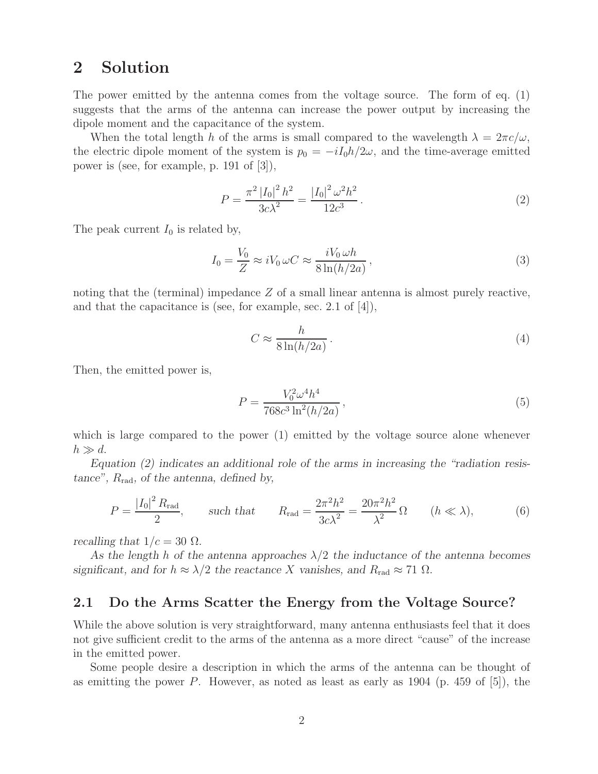# **2 Solution**

The power emitted by the antenna comes from the voltage source. The form of eq. (1) suggests that the arms of the antenna can increase the power output by increasing the dipole moment and the capacitance of the system.

When the total length h of the arms is small compared to the wavelength  $\lambda = 2\pi c/\omega$ , the electric dipole moment of the system is  $p_0 = -iI_0h/2\omega$ , and the time-average emitted power is (see, for example, p. 191 of [3]),

$$
P = \frac{\pi^2 |I_0|^2 h^2}{3c\lambda^2} = \frac{|I_0|^2 \omega^2 h^2}{12c^3}.
$$
 (2)

The peak current  $I_0$  is related by,

$$
I_0 = \frac{V_0}{Z} \approx i V_0 \,\omega C \approx \frac{i V_0 \,\omega h}{8 \ln(h/2a)},\tag{3}
$$

noting that the (terminal) impedance  $Z$  of a small linear antenna is almost purely reactive, and that the capacitance is (see, for example, sec. 2.1 of [4]),

$$
C \approx \frac{h}{8\ln(h/2a)}.\tag{4}
$$

Then, the emitted power is,

$$
P = \frac{V_0^2 \omega^4 h^4}{768c^3 \ln^2(h/2a)},
$$
\n(5)

which is large compared to the power (1) emitted by the voltage source alone whenever  $h \gg d$ .

*Equation (2) indicates an additional role of the arms in increasing the "radiation resistance",* Rrad*, of the antenna, defined by,*

$$
P = \frac{|I_0|^2 R_{\text{rad}}}{2}, \qquad \text{such that} \qquad R_{\text{rad}} = \frac{2\pi^2 h^2}{3c\lambda^2} = \frac{20\pi^2 h^2}{\lambda^2} \Omega \qquad (h \ll \lambda), \tag{6}
$$

*recalling that*  $1/c = 30 \Omega$ *.* 

As the length h of the antenna approaches  $\lambda/2$  the inductance of the antenna becomes *significant, and for*  $h \approx \lambda/2$  *the reactance* X *vanishes, and*  $R_{\text{rad}} \approx 71 \Omega$ *.* 

### **2.1 Do the Arms Scatter the Energy from the Voltage Source?**

While the above solution is very straightforward, many antenna enthusiasts feel that it does not give sufficient credit to the arms of the antenna as a more direct "cause" of the increase in the emitted power.

Some people desire a description in which the arms of the antenna can be thought of as emitting the power  $P$ . However, as noted as least as early as 1904 (p. 459 of [5]), the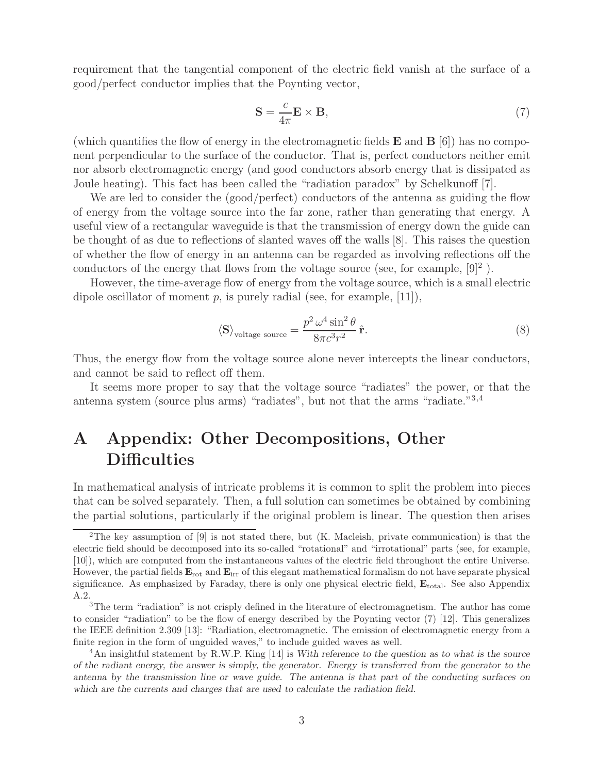requirement that the tangential component of the electric field vanish at the surface of a good/perfect conductor implies that the Poynting vector,

$$
\mathbf{S} = \frac{c}{4\pi} \mathbf{E} \times \mathbf{B},\tag{7}
$$

(which quantifies the flow of energy in the electromagnetic fields **E** and **B** [6]) has no component perpendicular to the surface of the conductor. That is, perfect conductors neither emit nor absorb electromagnetic energy (and good conductors absorb energy that is dissipated as Joule heating). This fact has been called the "radiation paradox" by Schelkunoff [7].

We are led to consider the (good/perfect) conductors of the antenna as guiding the flow of energy from the voltage source into the far zone, rather than generating that energy. A useful view of a rectangular waveguide is that the transmission of energy down the guide can be thought of as due to reflections of slanted waves off the walls [8]. This raises the question of whether the flow of energy in an antenna can be regarded as involving reflections off the conductors of the energy that flows from the voltage source (see, for example,  $[9]^2$ ).

However, the time-average flow of energy from the voltage source, which is a small electric dipole oscillator of moment  $p$ , is purely radial (see, for example, [11]),

$$
\langle \mathbf{S} \rangle_{\text{voltage source}} = \frac{p^2 \,\omega^4 \sin^2 \theta}{8\pi c^3 r^2} \,\hat{\mathbf{r}}.\tag{8}
$$

Thus, the energy flow from the voltage source alone never intercepts the linear conductors, and cannot be said to reflect off them.

It seems more proper to say that the voltage source "radiates" the power, or that the antenna system (source plus arms) "radiates", but not that the arms "radiate."3,4

# **A Appendix: Other Decompositions, Other Difficulties**

In mathematical analysis of intricate problems it is common to split the problem into pieces that can be solved separately. Then, a full solution can sometimes be obtained by combining the partial solutions, particularly if the original problem is linear. The question then arises

<sup>&</sup>lt;sup>2</sup>The key assumption of [9] is not stated there, but (K. Macleish, private communication) is that the electric field should be decomposed into its so-called "rotational" and "irrotational" parts (see, for example, [10]), which are computed from the instantaneous values of the electric field throughout the entire Universe. However, the partial fields **E**rot and **E**irr of this elegant mathematical formalism do not have separate physical significance. As emphasized by Faraday, there is only one physical electric field,  $\mathbf{E}_{total}$ . See also Appendix A.2.

<sup>&</sup>lt;sup>3</sup>The term "radiation" is not crisply defined in the literature of electromagnetism. The author has come to consider "radiation" to be the flow of energy described by the Poynting vector (7) [12]. This generalizes the IEEE definition 2.309 [13]: "Radiation, electromagnetic. The emission of electromagnetic energy from a finite region in the form of unguided waves," to include guided waves as well.

<sup>4</sup>An insightful statement by R.W.P. King [14] is *With reference to the question as to what is the source of the radiant energy, the answer is simply, the generator. Energy is transferred from the generator to the antenna by the transmission line or wave guide. The antenna is that part of the conducting surfaces on which are the currents and charges that are used to calculate the radiation field.*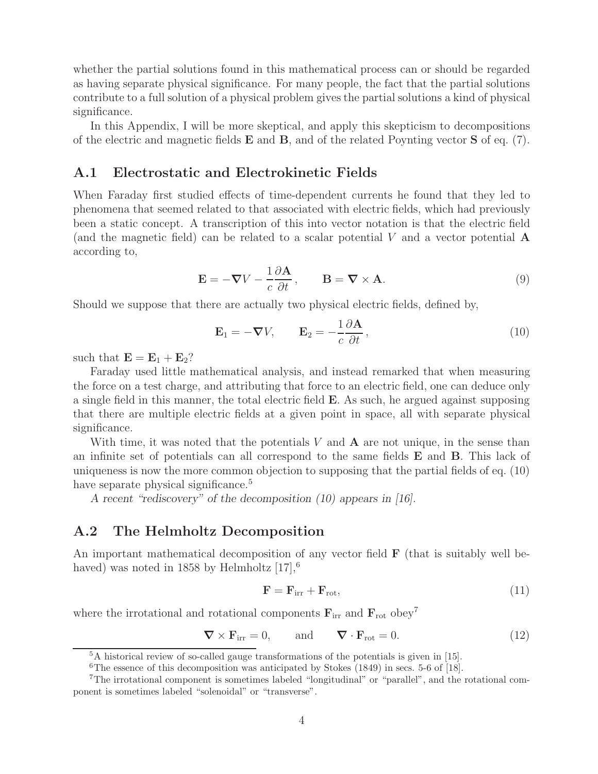whether the partial solutions found in this mathematical process can or should be regarded as having separate physical significance. For many people, the fact that the partial solutions contribute to a full solution of a physical problem gives the partial solutions a kind of physical significance.

In this Appendix, I will be more skeptical, and apply this skepticism to decompositions of the electric and magnetic fields **E** and **B**, and of the related Poynting vector **S** of eq. (7).

#### **A.1 Electrostatic and Electrokinetic Fields**

When Faraday first studied effects of time-dependent currents he found that they led to phenomena that seemed related to that associated with electric fields, which had previously been a static concept. A transcription of this into vector notation is that the electric field (and the magnetic field) can be related to a scalar potential V and a vector potential **A** according to,

$$
\mathbf{E} = -\nabla V - \frac{1}{c} \frac{\partial \mathbf{A}}{\partial t}, \qquad \mathbf{B} = \nabla \times \mathbf{A}.
$$
 (9)

Should we suppose that there are actually two physical electric fields, defined by,

$$
\mathbf{E}_1 = -\boldsymbol{\nabla} V, \qquad \mathbf{E}_2 = -\frac{1}{c} \frac{\partial \mathbf{A}}{\partial t}, \qquad (10)
$$

such that  $\mathbf{E} = \mathbf{E}_1 + \mathbf{E}_2$ ?

Faraday used little mathematical analysis, and instead remarked that when measuring the force on a test charge, and attributing that force to an electric field, one can deduce only a single field in this manner, the total electric field **E**. As such, he argued against supposing that there are multiple electric fields at a given point in space, all with separate physical significance.

With time, it was noted that the potentials V and **A** are not unique, in the sense than an infinite set of potentials can all correspond to the same fields **E** and **B**. This lack of uniqueness is now the more common objection to supposing that the partial fields of eq. (10) have separate physical significance.<sup>5</sup>

*A recent "rediscovery" of the decomposition (10) appears in [16].*

### **A.2 The Helmholtz Decomposition**

An important mathematical decomposition of any vector field **F** (that is suitably well behaved) was noted in 1858 by Helmholtz  $[17]$ ,<sup>6</sup>

$$
\mathbf{F} = \mathbf{F}_{irr} + \mathbf{F}_{rot},\tag{11}
$$

where the irrotational and rotational components  $\mathbf{F}_{irr}$  and  $\mathbf{F}_{rot}$  obey<sup>7</sup>

$$
\nabla \times \mathbf{F}_{irr} = 0, \quad \text{and} \quad \nabla \cdot \mathbf{F}_{rot} = 0. \tag{12}
$$

<sup>5</sup>A historical review of so-called gauge transformations of the potentials is given in [15].

<sup>&</sup>lt;sup>6</sup>The essence of this decomposition was anticipated by Stokes  $(1849)$  in secs. 5-6 of [18].

<sup>7</sup>The irrotational component is sometimes labeled "longitudinal" or "parallel", and the rotational component is sometimes labeled "solenoidal" or "transverse".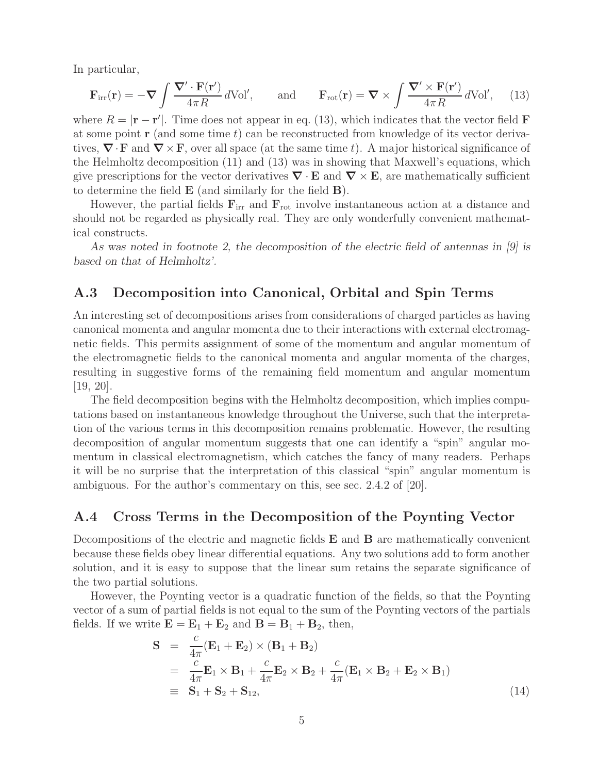In particular,

$$
\mathbf{F}_{irr}(\mathbf{r}) = -\nabla \int \frac{\nabla' \cdot \mathbf{F}(\mathbf{r}')}{4\pi R} d\text{Vol}', \quad \text{and} \quad \mathbf{F}_{rot}(\mathbf{r}) = \nabla \times \int \frac{\nabla' \times \mathbf{F}(\mathbf{r}')}{4\pi R} d\text{Vol}', \quad (13)
$$

where  $R = |\mathbf{r} - \mathbf{r}'|$ . Time does not appear in eq. (13), which indicates that the vector field **F** at some point  $\mathbf r$  (and some time t) can be reconstructed from knowledge of its vector derivatives,  $\nabla \cdot \mathbf{F}$  and  $\nabla \times \mathbf{F}$ , over all space (at the same time t). A major historical significance of the Helmholtz decomposition (11) and (13) was in showing that Maxwell's equations, which give prescriptions for the vector derivatives  $\nabla \cdot \mathbf{E}$  and  $\nabla \times \mathbf{E}$ , are mathematically sufficient to determine the field **E** (and similarly for the field **B**).

However, the partial fields  $\mathbf{F}_{irr}$  and  $\mathbf{F}_{rot}$  involve instantaneous action at a distance and should not be regarded as physically real. They are only wonderfully convenient mathematical constructs.

*As was noted in footnote 2, the decomposition of the electric field of antennas in [9] is based on that of Helmholtz'.*

#### **A.3 Decomposition into Canonical, Orbital and Spin Terms**

An interesting set of decompositions arises from considerations of charged particles as having canonical momenta and angular momenta due to their interactions with external electromagnetic fields. This permits assignment of some of the momentum and angular momentum of the electromagnetic fields to the canonical momenta and angular momenta of the charges, resulting in suggestive forms of the remaining field momentum and angular momentum [19, 20].

The field decomposition begins with the Helmholtz decomposition, which implies computations based on instantaneous knowledge throughout the Universe, such that the interpretation of the various terms in this decomposition remains problematic. However, the resulting decomposition of angular momentum suggests that one can identify a "spin" angular momentum in classical electromagnetism, which catches the fancy of many readers. Perhaps it will be no surprise that the interpretation of this classical "spin" angular momentum is ambiguous. For the author's commentary on this, see sec. 2.4.2 of [20].

#### **A.4 Cross Terms in the Decomposition of the Poynting Vector**

Decompositions of the electric and magnetic fields **E** and **B** are mathematically convenient because these fields obey linear differential equations. Any two solutions add to form another solution, and it is easy to suppose that the linear sum retains the separate significance of the two partial solutions.

However, the Poynting vector is a quadratic function of the fields, so that the Poynting vector of a sum of partial fields is not equal to the sum of the Poynting vectors of the partials fields. If we write  $\mathbf{E} = \mathbf{E}_1 + \mathbf{E}_2$  and  $\mathbf{B} = \mathbf{B}_1 + \mathbf{B}_2$ , then,

$$
\mathbf{S} = \frac{c}{4\pi} (\mathbf{E}_1 + \mathbf{E}_2) \times (\mathbf{B}_1 + \mathbf{B}_2)
$$
  
\n
$$
= \frac{c}{4\pi} \mathbf{E}_1 \times \mathbf{B}_1 + \frac{c}{4\pi} \mathbf{E}_2 \times \mathbf{B}_2 + \frac{c}{4\pi} (\mathbf{E}_1 \times \mathbf{B}_2 + \mathbf{E}_2 \times \mathbf{B}_1)
$$
  
\n
$$
\equiv \mathbf{S}_1 + \mathbf{S}_2 + \mathbf{S}_{12},
$$
\n(14)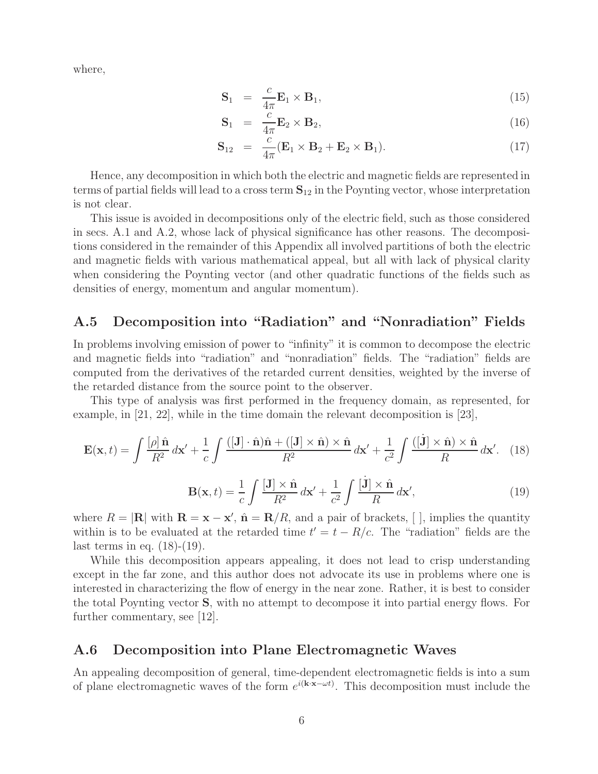where,

$$
\mathbf{S}_1 = \frac{c}{4\pi} \mathbf{E}_1 \times \mathbf{B}_1, \tag{15}
$$

$$
\mathbf{S}_1 = \frac{c}{4\pi} \mathbf{E}_2 \times \mathbf{B}_2, \tag{16}
$$

$$
\mathbf{S}_{12} = \frac{c}{4\pi} (\mathbf{E}_1 \times \mathbf{B}_2 + \mathbf{E}_2 \times \mathbf{B}_1). \tag{17}
$$

Hence, any decomposition in which both the electric and magnetic fields are represented in terms of partial fields will lead to a cross term **S**<sup>12</sup> in the Poynting vector, whose interpretation is not clear.

This issue is avoided in decompositions only of the electric field, such as those considered in secs. A.1 and A.2, whose lack of physical significance has other reasons. The decompositions considered in the remainder of this Appendix all involved partitions of both the electric and magnetic fields with various mathematical appeal, but all with lack of physical clarity when considering the Poynting vector (and other quadratic functions of the fields such as densities of energy, momentum and angular momentum).

## **A.5 Decomposition into "Radiation" and "Nonradiation" Fields**

In problems involving emission of power to "infinity" it is common to decompose the electric and magnetic fields into "radiation" and "nonradiation" fields. The "radiation" fields are computed from the derivatives of the retarded current densities, weighted by the inverse of the retarded distance from the source point to the observer.

This type of analysis was first performed in the frequency domain, as represented, for example, in [21, 22], while in the time domain the relevant decomposition is [23],

$$
\mathbf{E}(\mathbf{x},t) = \int \frac{[\rho]\,\hat{\mathbf{n}}}{R^2} \,d\mathbf{x}' + \frac{1}{c} \int \frac{([\mathbf{J}]\cdot\hat{\mathbf{n}})\hat{\mathbf{n}} + ([\mathbf{J}]\times\hat{\mathbf{n}})\times\hat{\mathbf{n}}}{R^2} \,d\mathbf{x}' + \frac{1}{c^2} \int \frac{([\mathbf{j}]\times\hat{\mathbf{n}})\times\hat{\mathbf{n}}}{R} \,d\mathbf{x}'. \tag{18}
$$

$$
\mathbf{B}(\mathbf{x},t) = \frac{1}{c} \int \frac{[\mathbf{J}] \times \hat{\mathbf{n}}}{R^2} d\mathbf{x}' + \frac{1}{c^2} \int \frac{[\dot{\mathbf{J}}] \times \hat{\mathbf{n}}}{R} d\mathbf{x}',\tag{19}
$$

where  $R = |\mathbf{R}|$  with  $\mathbf{R} = \mathbf{x} - \mathbf{x}'$ ,  $\hat{\mathbf{n}} = \mathbf{R}/R$ , and a pair of brackets, [], implies the quantity within is to be evaluated at the retarded time  $t' = t - R/c$ . The "radiation" fields are the last terms in eq.  $(18)-(19)$ .

While this decomposition appears appealing, it does not lead to crisp understanding except in the far zone, and this author does not advocate its use in problems where one is interested in characterizing the flow of energy in the near zone. Rather, it is best to consider the total Poynting vector **S**, with no attempt to decompose it into partial energy flows. For further commentary, see [12].

#### **A.6 Decomposition into Plane Electromagnetic Waves**

An appealing decomposition of general, time-dependent electromagnetic fields is into a sum of plane electromagnetic waves of the form  $e^{i(k \cdot \mathbf{x} - \omega t)}$ . This decomposition must include the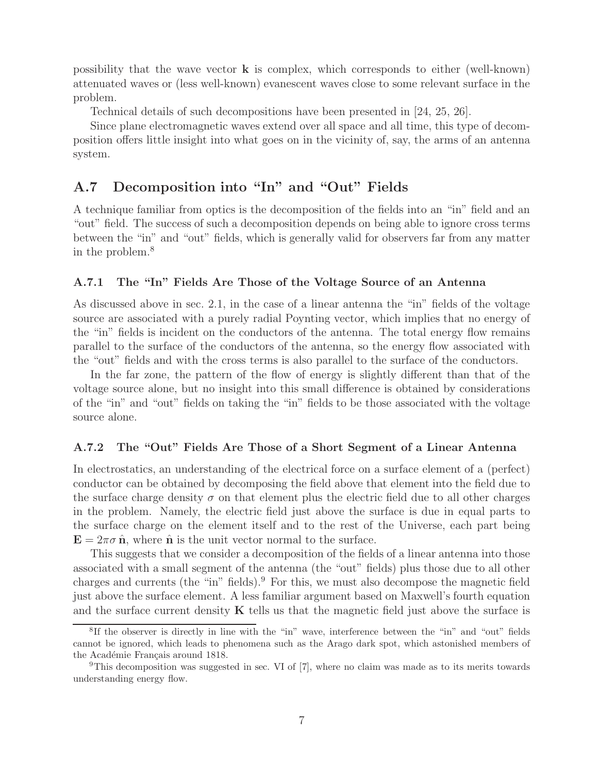possibility that the wave vector **k** is complex, which corresponds to either (well-known) attenuated waves or (less well-known) evanescent waves close to some relevant surface in the problem.

Technical details of such decompositions have been presented in [24, 25, 26].

Since plane electromagnetic waves extend over all space and all time, this type of decomposition offers little insight into what goes on in the vicinity of, say, the arms of an antenna system.

## **A.7 Decomposition into "In" and "Out" Fields**

A technique familiar from optics is the decomposition of the fields into an "in" field and an "out" field. The success of such a decomposition depends on being able to ignore cross terms between the "in" and "out" fields, which is generally valid for observers far from any matter in the problem.<sup>8</sup>

#### **A.7.1 The "In" Fields Are Those of the Voltage Source of an Antenna**

As discussed above in sec. 2.1, in the case of a linear antenna the "in" fields of the voltage source are associated with a purely radial Poynting vector, which implies that no energy of the "in" fields is incident on the conductors of the antenna. The total energy flow remains parallel to the surface of the conductors of the antenna, so the energy flow associated with the "out" fields and with the cross terms is also parallel to the surface of the conductors.

In the far zone, the pattern of the flow of energy is slightly different than that of the voltage source alone, but no insight into this small difference is obtained by considerations of the "in" and "out" fields on taking the "in" fields to be those associated with the voltage source alone.

#### **A.7.2 The "Out" Fields Are Those of a Short Segment of a Linear Antenna**

In electrostatics, an understanding of the electrical force on a surface element of a (perfect) conductor can be obtained by decomposing the field above that element into the field due to the surface charge density  $\sigma$  on that element plus the electric field due to all other charges in the problem. Namely, the electric field just above the surface is due in equal parts to the surface charge on the element itself and to the rest of the Universe, each part being  $\mathbf{E} = 2\pi\sigma \hat{\mathbf{n}}$ , where  $\hat{\mathbf{n}}$  is the unit vector normal to the surface.

This suggests that we consider a decomposition of the fields of a linear antenna into those associated with a small segment of the antenna (the "out" fields) plus those due to all other charges and currents (the "in" fields). For this, we must also decompose the magnetic field just above the surface element. A less familiar argument based on Maxwell's fourth equation and the surface current density  $\bf{K}$  tells us that the magnetic field just above the surface is

<sup>8</sup>If the observer is directly in line with the "in" wave, interference between the "in" and "out" fields cannot be ignored, which leads to phenomena such as the Arago dark spot, which astonished members of the Académie Français around 1818.

<sup>&</sup>lt;sup>9</sup>This decomposition was suggested in sec. VI of  $[7]$ , where no claim was made as to its merits towards understanding energy flow.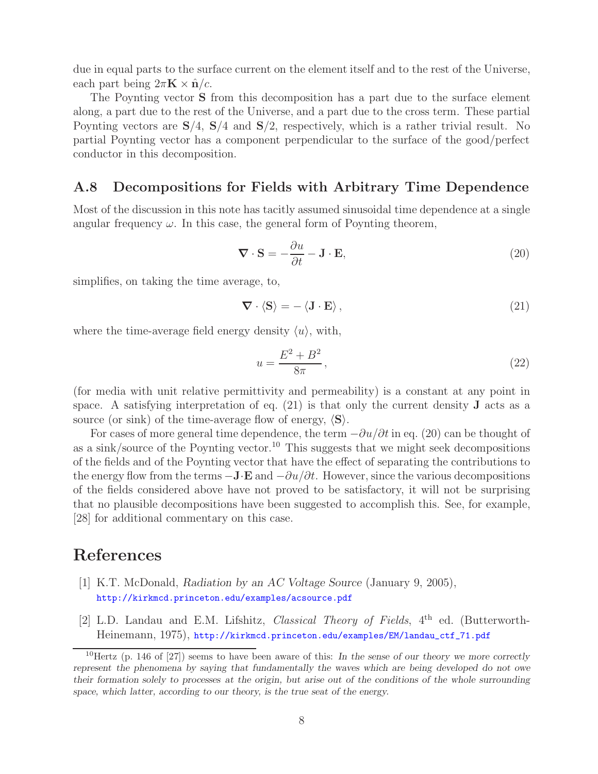due in equal parts to the surface current on the element itself and to the rest of the Universe, each part being  $2\pi \mathbf{K} \times \hat{\mathbf{n}}/c$ .

The Poynting vector **S** from this decomposition has a part due to the surface element along, a part due to the rest of the Universe, and a part due to the cross term. These partial Poynting vectors are **S**/4, **S**/4 and **S**/2, respectively, which is a rather trivial result. No partial Poynting vector has a component perpendicular to the surface of the good/perfect conductor in this decomposition.

#### **A.8 Decompositions for Fields with Arbitrary Time Dependence**

Most of the discussion in this note has tacitly assumed sinusoidal time dependence at a single angular frequency  $\omega$ . In this case, the general form of Poynting theorem,

$$
\nabla \cdot \mathbf{S} = -\frac{\partial u}{\partial t} - \mathbf{J} \cdot \mathbf{E},\tag{20}
$$

simplifies, on taking the time average, to,

$$
\nabla \cdot \langle \mathbf{S} \rangle = - \langle \mathbf{J} \cdot \mathbf{E} \rangle, \tag{21}
$$

where the time-average field energy density  $\langle u \rangle$ , with,

$$
u = \frac{E^2 + B^2}{8\pi},
$$
\n(22)

(for media with unit relative permittivity and permeability) is a constant at any point in space. A satisfying interpretation of eq. (21) is that only the current density **J** acts as a source (or sink) of the time-average flow of energy,  $\langle S \rangle$ .

For cases of more general time dependence, the term  $-\partial u/\partial t$  in eq. (20) can be thought of as a sink/source of the Poynting vector.<sup>10</sup> This suggests that we might seek decompositions of the fields and of the Poynting vector that have the effect of separating the contributions to the energy flow from the terms  $-\mathbf{J} \cdot \mathbf{E}$  and  $-\partial u/\partial t$ . However, since the various decompositions of the fields considered above have not proved to be satisfactory, it will not be surprising that no plausible decompositions have been suggested to accomplish this. See, for example, [28] for additional commentary on this case.

## **References**

- [1] K.T. McDonald, *Radiation by an AC Voltage Source* (January 9, 2005), http://kirkmcd.princeton.edu/examples/acsource.pdf
- [2] L.D. Landau and E.M. Lifshitz, *Classical Theory of Fields*, 4th ed. (Butterworth-Heinemann, 1975), http://kirkmcd.princeton.edu/examples/EM/landau\_ctf\_71.pdf

<sup>10</sup>Hertz (p. 146 of [27]) seems to have been aware of this: *In the sense of our theory we more correctly represent the phenomena by saying that fundamentally the waves which are being developed do not owe their formation solely to processes at the origin, but arise out of the conditions of the whole surrounding space, which latter, according to our theory, is the true seat of the energy.*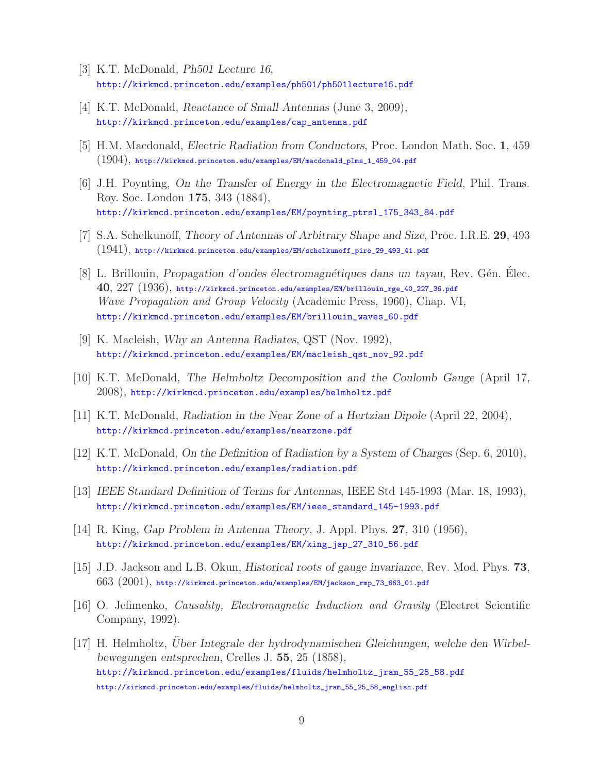- [3] K.T. McDonald, *Ph501 Lecture 16*, http://kirkmcd.princeton.edu/examples/ph501/ph501lecture16.pdf
- [4] K.T. McDonald, *Reactance of Small Antennas* (June 3, 2009), http://kirkmcd.princeton.edu/examples/cap\_antenna.pdf
- [5] H.M. Macdonald, *Electric Radiation from Conductors*, Proc. London Math. Soc. **1**, 459  $(1904)$ , http://kirkmcd.princeton.edu/examples/EM/macdonald\_plms\_1\_459\_04.pdf
- [6] J.H. Poynting, *On the Transfer of Energy in the Electromagnetic Field*, Phil. Trans. Roy. Soc. London **175**, 343 (1884), http://kirkmcd.princeton.edu/examples/EM/poynting\_ptrsl\_175\_343\_84.pdf
- [7] S.A. Schelkunoff, *Theory of Antennas of Arbitrary Shape and Size*, Proc. I.R.E. **29**, 493  $(1941)$ , http://kirkmcd.princeton.edu/examples/EM/schelkunoff\_pire\_29\_493\_41.pdf
- [8] L. Brillouin, *Propagation d'ondes électromagnétiques dans un tayau*, Rev. Gén. Elec. **40**, 227 (1936), http://kirkmcd.princeton.edu/examples/EM/brillouin\_rge\_40\_227\_36.pdf *Wave Propagation and Group Velocity* (Academic Press, 1960), Chap. VI, http://kirkmcd.princeton.edu/examples/EM/brillouin\_waves\_60.pdf
- [9] K. Macleish, *Why an Antenna Radiates*, QST (Nov. 1992), http://kirkmcd.princeton.edu/examples/EM/macleish\_qst\_nov\_92.pdf
- [10] K.T. McDonald, *The Helmholtz Decomposition and the Coulomb Gauge* (April 17, 2008), http://kirkmcd.princeton.edu/examples/helmholtz.pdf
- [11] K.T. McDonald, *Radiation in the Near Zone of a Hertzian Dipole* (April 22, 2004), http://kirkmcd.princeton.edu/examples/nearzone.pdf
- [12] K.T. McDonald, *On the Definition of Radiation by a System of Charges* (Sep. 6, 2010), http://kirkmcd.princeton.edu/examples/radiation.pdf
- [13] *IEEE Standard Definition of Terms for Antennas*, IEEE Std 145-1993 (Mar. 18, 1993), http://kirkmcd.princeton.edu/examples/EM/ieee\_standard\_145-1993.pdf
- [14] R. King, *Gap Problem in Antenna Theory*, J. Appl. Phys. **27**, 310 (1956), http://kirkmcd.princeton.edu/examples/EM/king\_jap\_27\_310\_56.pdf
- [15] J.D. Jackson and L.B. Okun, *Historical roots of gauge invariance*, Rev. Mod. Phys. **73**,  $663$   $(2001)$ , http://kirkmcd.princeton.edu/examples/EM/jackson\_rmp\_73\_663\_01.pdf
- [16] O. Jefimenko, *Causality, Electromagnetic Induction and Gravity* (Electret Scientific Company, 1992).
- [17] H. Helmholtz, *Uber Integrale der hydrodynamischen Gleichungen, welche den Wirbel- ¨ bewegungen entsprechen*, Crelles J. **55**, 25 (1858), http://kirkmcd.princeton.edu/examples/fluids/helmholtz\_jram\_55\_25\_58.pdf http://kirkmcd.princeton.edu/examples/fluids/helmholtz\_jram\_55\_25\_58\_english.pdf